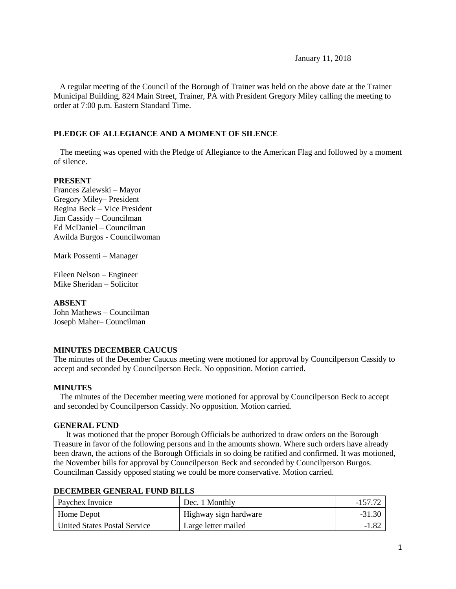January 11, 2018

 A regular meeting of the Council of the Borough of Trainer was held on the above date at the Trainer Municipal Building, 824 Main Street, Trainer, PA with President Gregory Miley calling the meeting to order at 7:00 p.m. Eastern Standard Time.

#### **PLEDGE OF ALLEGIANCE AND A MOMENT OF SILENCE**

 The meeting was opened with the Pledge of Allegiance to the American Flag and followed by a moment of silence.

#### **PRESENT**

Frances Zalewski – Mayor Gregory Miley– President Regina Beck – Vice President Jim Cassidy – Councilman Ed McDaniel – Councilman Awilda Burgos - Councilwoman

Mark Possenti – Manager

Eileen Nelson – Engineer Mike Sheridan – Solicitor

#### **ABSENT**

John Mathews – Councilman Joseph Maher– Councilman

#### **MINUTES DECEMBER CAUCUS**

The minutes of the December Caucus meeting were motioned for approval by Councilperson Cassidy to accept and seconded by Councilperson Beck. No opposition. Motion carried.

#### **MINUTES**

The minutes of the December meeting were motioned for approval by Councilperson Beck to accept and seconded by Councilperson Cassidy. No opposition. Motion carried.

#### **GENERAL FUND**

 It was motioned that the proper Borough Officials be authorized to draw orders on the Borough Treasure in favor of the following persons and in the amounts shown. Where such orders have already been drawn, the actions of the Borough Officials in so doing be ratified and confirmed. It was motioned, the November bills for approval by Councilperson Beck and seconded by Councilperson Burgos. Councilman Cassidy opposed stating we could be more conservative. Motion carried.

| <b>Paychex Invoice</b>       | Dec. 1 Monthly        | $-157$ 7 |
|------------------------------|-----------------------|----------|
| Home Depot                   | Highway sign hardware |          |
| United States Postal Service | Large letter mailed   |          |

#### **DECEMBER GENERAL FUND BILLS**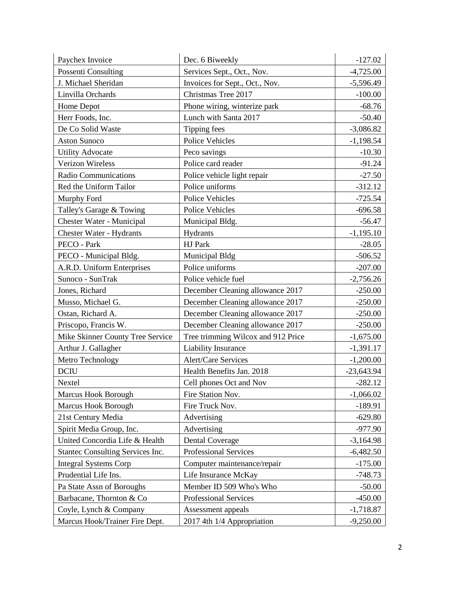| Paychex Invoice                  | Dec. 6 Biweekly                    | $-127.02$    |
|----------------------------------|------------------------------------|--------------|
| Possenti Consulting              | Services Sept., Oct., Nov.         | $-4,725.00$  |
| J. Michael Sheridan              | Invoices for Sept., Oct., Nov.     | $-5,596.49$  |
| Linvilla Orchards                | Christmas Tree 2017                | $-100.00$    |
| Home Depot                       | Phone wiring, winterize park       | $-68.76$     |
| Herr Foods, Inc.                 | Lunch with Santa 2017              | $-50.40$     |
| De Co Solid Waste                | Tipping fees                       | $-3,086.82$  |
| <b>Aston Sunoco</b>              | <b>Police Vehicles</b>             | $-1,198.54$  |
| <b>Utility Advocate</b>          | Peco savings                       | $-10.30$     |
| Verizon Wireless                 | Police card reader                 | $-91.24$     |
| <b>Radio Communications</b>      | Police vehicle light repair        | $-27.50$     |
| Red the Uniform Tailor           | Police uniforms                    | $-312.12$    |
| Murphy Ford                      | <b>Police Vehicles</b>             | $-725.54$    |
| Talley's Garage & Towing         | Police Vehicles                    | $-696.58$    |
| Chester Water - Municipal        | Municipal Bldg.                    | $-56.47$     |
| Chester Water - Hydrants         | Hydrants                           | $-1,195.10$  |
| PECO - Park                      | HJ Park                            | $-28.05$     |
| PECO - Municipal Bldg.           | Municipal Bldg                     | $-506.52$    |
| A.R.D. Uniform Enterprises       | Police uniforms                    | $-207.00$    |
| Sunoco - SunTrak                 | Police vehicle fuel                | $-2,756.26$  |
| Jones, Richard                   | December Cleaning allowance 2017   | $-250.00$    |
| Musso, Michael G.                | December Cleaning allowance 2017   | $-250.00$    |
| Ostan, Richard A.                | December Cleaning allowance 2017   | $-250.00$    |
| Priscopo, Francis W.             | December Cleaning allowance 2017   | $-250.00$    |
| Mike Skinner County Tree Service | Tree trimming Wilcox and 912 Price | $-1,675.00$  |
| Arthur J. Gallagher              | Liability Insurance                | $-1,391.17$  |
| Metro Technology                 | <b>Alert/Care Services</b>         | $-1,200.00$  |
| <b>DCIU</b>                      | Health Benefits Jan. 2018          | $-23,643.94$ |
| Nextel                           | Cell phones Oct and Nov            | $-282.12$    |
| Marcus Hook Borough              | Fire Station Nov.                  | $-1,066.02$  |
| Marcus Hook Borough              | Fire Truck Nov.                    | $-189.91$    |
| 21st Century Media               | Advertising                        | $-629.80$    |
| Spirit Media Group, Inc.         | Advertising                        | $-977.90$    |
| United Concordia Life & Health   | <b>Dental Coverage</b>             | $-3,164.98$  |
| Stantec Consulting Services Inc. | Professional Services              | $-6,482.50$  |
| <b>Integral Systems Corp</b>     | Computer maintenance/repair        | $-175.00$    |
| Prudential Life Ins.             | Life Insurance McKay               | $-748.73$    |
| Pa State Assn of Boroughs        | Member ID 509 Who's Who            | $-50.00$     |
| Barbacane, Thornton & Co         | Professional Services              | $-450.00$    |
| Coyle, Lynch & Company           | Assessment appeals                 | $-1,718.87$  |
| Marcus Hook/Trainer Fire Dept.   | 2017 4th 1/4 Appropriation         | $-9,250.00$  |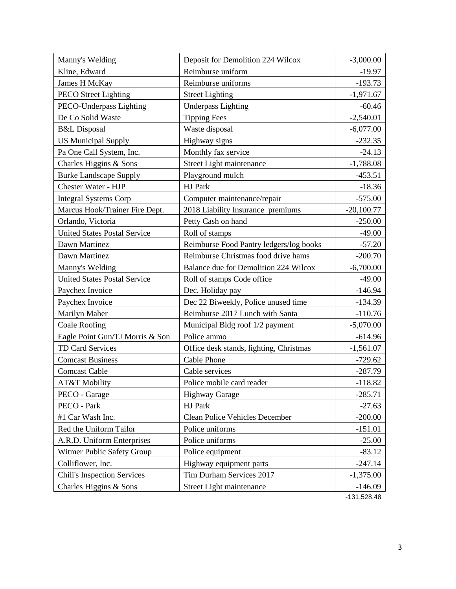| Manny's Welding                     | Deposit for Demolition 224 Wilcox       | $-3,000.00$  |
|-------------------------------------|-----------------------------------------|--------------|
| Kline, Edward                       | Reimburse uniform                       | $-19.97$     |
| James H McKay                       | Reimburse uniforms                      | $-193.73$    |
| <b>PECO</b> Street Lighting         | <b>Street Lighting</b>                  | $-1,971.67$  |
| PECO-Underpass Lighting             | <b>Underpass Lighting</b>               | $-60.46$     |
| De Co Solid Waste                   | <b>Tipping Fees</b>                     | $-2,540.01$  |
| <b>B&amp;L</b> Disposal             | Waste disposal                          | $-6,077.00$  |
| <b>US Municipal Supply</b>          | Highway signs                           | $-232.35$    |
| Pa One Call System, Inc.            | Monthly fax service                     | $-24.13$     |
| Charles Higgins & Sons              | Street Light maintenance                | $-1,788.08$  |
| <b>Burke Landscape Supply</b>       | Playground mulch                        | $-453.51$    |
| Chester Water - HJP                 | HJ Park                                 | $-18.36$     |
| <b>Integral Systems Corp</b>        | Computer maintenance/repair             | $-575.00$    |
| Marcus Hook/Trainer Fire Dept.      | 2018 Liability Insurance premiums       | $-20,100.77$ |
| Orlando, Victoria                   | Petty Cash on hand                      | $-250.00$    |
| <b>United States Postal Service</b> | Roll of stamps                          | $-49.00$     |
| Dawn Martinez                       | Reimburse Food Pantry ledgers/log books | $-57.20$     |
| Dawn Martinez                       | Reimburse Christmas food drive hams     | $-200.70$    |
| Manny's Welding                     | Balance due for Demolition 224 Wilcox   | $-6,700.00$  |
| <b>United States Postal Service</b> | Roll of stamps Code office              | $-49.00$     |
| Paychex Invoice                     | Dec. Holiday pay                        | $-146.94$    |
| Paychex Invoice                     | Dec 22 Biweekly, Police unused time     | $-134.39$    |
| Marilyn Maher                       | Reimburse 2017 Lunch with Santa         | $-110.76$    |
| <b>Coale Roofing</b>                | Municipal Bldg roof 1/2 payment         | $-5,070.00$  |
| Eagle Point Gun/TJ Morris & Son     | Police ammo                             | $-614.96$    |
| <b>TD Card Services</b>             | Office desk stands, lighting, Christmas | $-1,561.07$  |
| <b>Comcast Business</b>             | <b>Cable Phone</b>                      | $-729.62$    |
| <b>Comcast Cable</b>                | Cable services                          | $-287.79$    |
| AT&T Mobility                       | Police mobile card reader               | $-118.82$    |
| PECO - Garage                       | <b>Highway Garage</b>                   | $-285.71$    |
| PECO - Park                         | HJ Park                                 | $-27.63$     |
| #1 Car Wash Inc.                    | <b>Clean Police Vehicles December</b>   | $-200.00$    |
| Red the Uniform Tailor              | Police uniforms                         | $-151.01$    |
| A.R.D. Uniform Enterprises          | Police uniforms                         | $-25.00$     |
| Witmer Public Safety Group          | Police equipment                        | $-83.12$     |
| Colliflower, Inc.                   | Highway equipment parts                 | $-247.14$    |
| <b>Chili's Inspection Services</b>  | Tim Durham Services 2017                | $-1,375.00$  |
| Charles Higgins & Sons              | Street Light maintenance                | $-146.09$    |

-131,528.48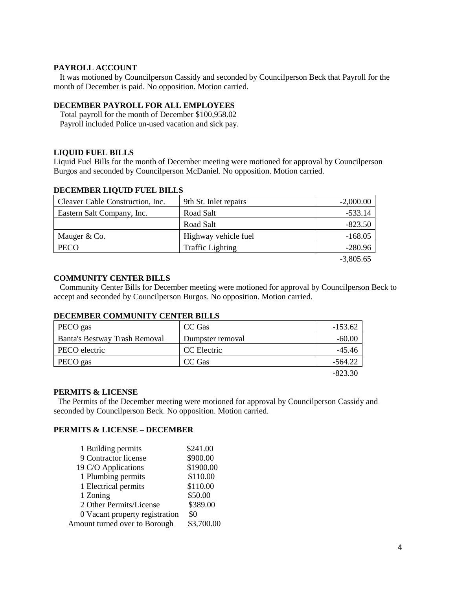#### **PAYROLL ACCOUNT**

 It was motioned by Councilperson Cassidy and seconded by Councilperson Beck that Payroll for the month of December is paid. No opposition. Motion carried.

#### **DECEMBER PAYROLL FOR ALL EMPLOYEES**

 Total payroll for the month of December \$100,958.02 Payroll included Police un-used vacation and sick pay.

#### **LIQUID FUEL BILLS**

Liquid Fuel Bills for the month of December meeting were motioned for approval by Councilperson Burgos and seconded by Councilperson McDaniel. No opposition. Motion carried.

#### **DECEMBER LIQUID FUEL BILLS**

| Cleaver Cable Construction, Inc. | 9th St. Inlet repairs   | $-2,000.00$ |
|----------------------------------|-------------------------|-------------|
| Eastern Salt Company, Inc.       | Road Salt               | -533.14     |
|                                  | Road Salt               | $-823.50$   |
| Mauger & Co.                     | Highway vehicle fuel    | $-168.05$   |
| <b>PECO</b>                      | <b>Traffic Lighting</b> | $-280.96$   |
|                                  |                         |             |

-3,805.65

#### **COMMUNITY CENTER BILLS**

 Community Center Bills for December meeting were motioned for approval by Councilperson Beck to accept and seconded by Councilperson Burgos. No opposition. Motion carried.

# **DECEMBER COMMUNITY CENTER BILLS**

| PECO gas                      | CC Gas           | $-153.62$ |
|-------------------------------|------------------|-----------|
| Banta's Bestway Trash Removal | Dumpster removal | $-60.00$  |
| PECO electric                 | CC Electric      | $-45.46$  |
| PECO gas                      | CC Gas           | $-564.22$ |
|                               |                  | $-823.30$ |

#### **PERMITS & LICENSE**

The Permits of the December meeting were motioned for approval by Councilperson Cassidy and seconded by Councilperson Beck. No opposition. Motion carried.

#### **PERMITS & LICENSE – DECEMBER**

| 1 Building permits             | \$241.00   |
|--------------------------------|------------|
| 9 Contractor license           | \$900.00   |
| 19 C/O Applications            | \$1900.00  |
| 1 Plumbing permits             | \$110.00   |
| 1 Electrical permits           | \$110.00   |
| 1 Zoning                       | \$50.00    |
| 2 Other Permits/License        | \$389.00   |
| 0 Vacant property registration | \$0        |
| Amount turned over to Borough  | \$3,700.00 |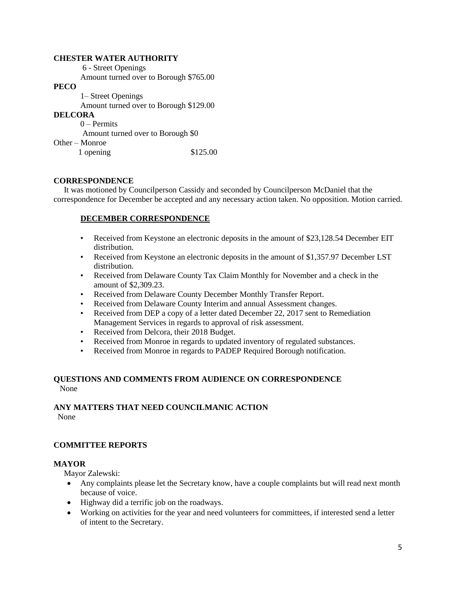#### **CHESTER WATER AUTHORITY**

6 - Street Openings Amount turned over to Borough \$765.00

#### **PECO**

 1– Street Openings Amount turned over to Borough \$129.00 **DELCORA** 0 – Permits Amount turned over to Borough \$0 Other – Monroe

1 opening \$125.00

#### **CORRESPONDENCE**

 It was motioned by Councilperson Cassidy and seconded by Councilperson McDaniel that the correspondence for December be accepted and any necessary action taken. No opposition. Motion carried.

#### **DECEMBER CORRESPONDENCE**

- Received from Keystone an electronic deposits in the amount of \$23,128.54 December EIT distribution.
- Received from Keystone an electronic deposits in the amount of \$1,357.97 December LST distribution.
- Received from Delaware County Tax Claim Monthly for November and a check in the amount of \$2,309.23.
- Received from Delaware County December Monthly Transfer Report.
- Received from Delaware County Interim and annual Assessment changes.
- Received from DEP a copy of a letter dated December 22, 2017 sent to Remediation Management Services in regards to approval of risk assessment.
- Received from Delcora, their 2018 Budget.
- Received from Monroe in regards to updated inventory of regulated substances.
- Received from Monroe in regards to PADEP Required Borough notification.

#### **QUESTIONS AND COMMENTS FROM AUDIENCE ON CORRESPONDENCE** None

#### **ANY MATTERS THAT NEED COUNCILMANIC ACTION**  None

#### **COMMITTEE REPORTS**

#### **MAYOR**

Mayor Zalewski:

- Any complaints please let the Secretary know, have a couple complaints but will read next month because of voice.
- Highway did a terrific job on the roadways.
- Working on activities for the year and need volunteers for committees, if interested send a letter of intent to the Secretary.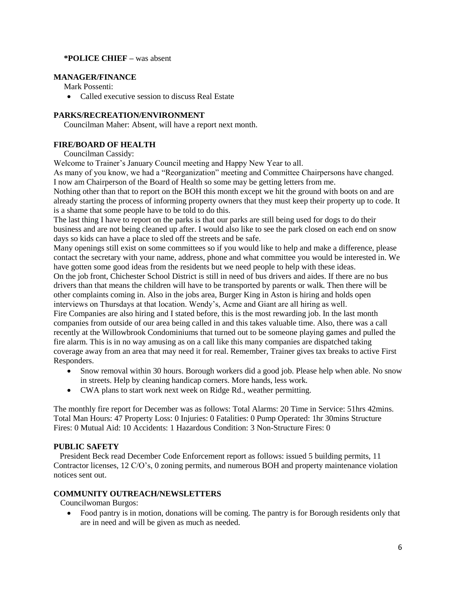#### **\*POLICE CHIEF –** was absent

#### **MANAGER/FINANCE**

Mark Possenti:

• Called executive session to discuss Real Estate

#### **PARKS/RECREATION/ENVIRONMENT**

Councilman Maher: Absent, will have a report next month.

# **FIRE/BOARD OF HEALTH**

Councilman Cassidy:

Welcome to Trainer's January Council meeting and Happy New Year to all.

As many of you know, we had a "Reorganization" meeting and Committee Chairpersons have changed. I now am Chairperson of the Board of Health so some may be getting letters from me.

Nothing other than that to report on the BOH this month except we hit the ground with boots on and are already starting the process of informing property owners that they must keep their property up to code. It is a shame that some people have to be told to do this.

The last thing I have to report on the parks is that our parks are still being used for dogs to do their business and are not being cleaned up after. I would also like to see the park closed on each end on snow days so kids can have a place to sled off the streets and be safe.

Many openings still exist on some committees so if you would like to help and make a difference, please contact the secretary with your name, address, phone and what committee you would be interested in. We have gotten some good ideas from the residents but we need people to help with these ideas.

On the job front, Chichester School District is still in need of bus drivers and aides. If there are no bus drivers than that means the children will have to be transported by parents or walk. Then there will be other complaints coming in. Also in the jobs area, Burger King in Aston is hiring and holds open interviews on Thursdays at that location. Wendy's, Acme and Giant are all hiring as well. Fire Companies are also hiring and I stated before, this is the most rewarding job. In the last month

companies from outside of our area being called in and this takes valuable time. Also, there was a call recently at the Willowbrook Condominiums that turned out to be someone playing games and pulled the fire alarm. This is in no way amusing as on a call like this many companies are dispatched taking coverage away from an area that may need it for real. Remember, Trainer gives tax breaks to active First Responders.

- Snow removal within 30 hours. Borough workers did a good job. Please help when able. No snow in streets. Help by cleaning handicap corners. More hands, less work.
- CWA plans to start work next week on Ridge Rd., weather permitting.

The monthly fire report for December was as follows: Total Alarms: 20 Time in Service: 51hrs 42mins. Total Man Hours: 47 Property Loss: 0 Injuries: 0 Fatalities: 0 Pump Operated: 1hr 30mins Structure Fires: 0 Mutual Aid: 10 Accidents: 1 Hazardous Condition: 3 Non-Structure Fires: 0

# **PUBLIC SAFETY**

 President Beck read December Code Enforcement report as follows: issued 5 building permits, 11 Contractor licenses, 12 C/O's, 0 zoning permits, and numerous BOH and property maintenance violation notices sent out.

# **COMMUNITY OUTREACH/NEWSLETTERS**

Councilwoman Burgos:

 Food pantry is in motion, donations will be coming. The pantry is for Borough residents only that are in need and will be given as much as needed.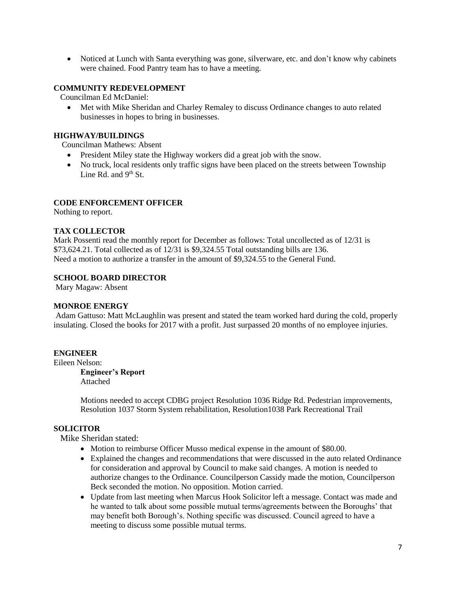Noticed at Lunch with Santa everything was gone, silverware, etc. and don't know why cabinets were chained. Food Pantry team has to have a meeting.

#### **COMMUNITY REDEVELOPMENT**

Councilman Ed McDaniel:

 Met with Mike Sheridan and Charley Remaley to discuss Ordinance changes to auto related businesses in hopes to bring in businesses.

# **HIGHWAY/BUILDINGS**

Councilman Mathews: Absent

- President Miley state the Highway workers did a great job with the snow.
- No truck, local residents only traffic signs have been placed on the streets between Township Line Rd. and  $9<sup>th</sup>$  St.

#### **CODE ENFORCEMENT OFFICER**

Nothing to report.

#### **TAX COLLECTOR**

Mark Possenti read the monthly report for December as follows: Total uncollected as of 12/31 is \$73,624.21. Total collected as of 12/31 is \$9,324.55 Total outstanding bills are 136. Need a motion to authorize a transfer in the amount of \$9,324.55 to the General Fund.

#### **SCHOOL BOARD DIRECTOR**

Mary Magaw: Absent

#### **MONROE ENERGY**

Adam Gattuso: Matt McLaughlin was present and stated the team worked hard during the cold, properly insulating. Closed the books for 2017 with a profit. Just surpassed 20 months of no employee injuries.

#### **ENGINEER**

Eileen Nelson:

**Engineer's Report** Attached

Motions needed to accept CDBG project Resolution 1036 Ridge Rd. Pedestrian improvements, Resolution 1037 Storm System rehabilitation, Resolution1038 Park Recreational Trail

#### **SOLICITOR**

Mike Sheridan stated:

- Motion to reimburse Officer Musso medical expense in the amount of \$80.00.
- Explained the changes and recommendations that were discussed in the auto related Ordinance for consideration and approval by Council to make said changes. A motion is needed to authorize changes to the Ordinance. Councilperson Cassidy made the motion, Councilperson Beck seconded the motion. No opposition. Motion carried.
- Update from last meeting when Marcus Hook Solicitor left a message. Contact was made and he wanted to talk about some possible mutual terms/agreements between the Boroughs' that may benefit both Borough's. Nothing specific was discussed. Council agreed to have a meeting to discuss some possible mutual terms.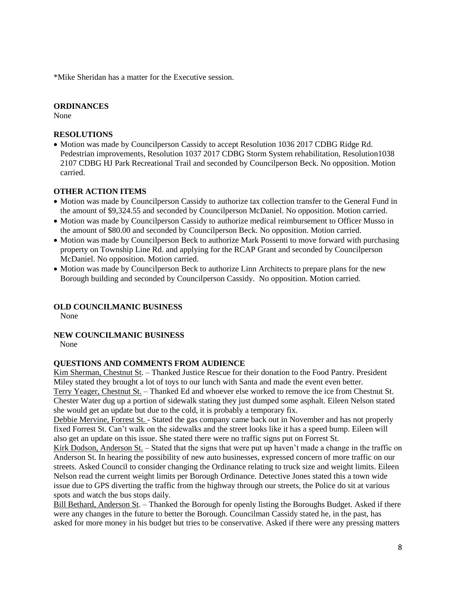\*Mike Sheridan has a matter for the Executive session.

#### **ORDINANCES**

None

#### **RESOLUTIONS**

• Motion was made by Councilperson Cassidy to accept Resolution 1036 2017 CDBG Ridge Rd. Pedestrian improvements, Resolution 1037 2017 CDBG Storm System rehabilitation, Resolution1038 2107 CDBG HJ Park Recreational Trail and seconded by Councilperson Beck. No opposition. Motion carried.

#### **OTHER ACTION ITEMS**

- Motion was made by Councilperson Cassidy to authorize tax collection transfer to the General Fund in the amount of \$9,324.55 and seconded by Councilperson McDaniel. No opposition. Motion carried.
- Motion was made by Councilperson Cassidy to authorize medical reimbursement to Officer Musso in the amount of \$80.00 and seconded by Councilperson Beck. No opposition. Motion carried.
- Motion was made by Councilperson Beck to authorize Mark Possenti to move forward with purchasing property on Township Line Rd. and applying for the RCAP Grant and seconded by Councilperson McDaniel. No opposition. Motion carried.
- Motion was made by Councilperson Beck to authorize Linn Architects to prepare plans for the new Borough building and seconded by Councilperson Cassidy. No opposition. Motion carried.

# **OLD COUNCILMANIC BUSINESS**

None

# **NEW COUNCILMANIC BUSINESS**

None

#### **QUESTIONS AND COMMENTS FROM AUDIENCE**

Kim Sherman, Chestnut St. – Thanked Justice Rescue for their donation to the Food Pantry. President Miley stated they brought a lot of toys to our lunch with Santa and made the event even better. Terry Yeager, Chestnut St. – Thanked Ed and whoever else worked to remove the ice from Chestnut St. Chester Water dug up a portion of sidewalk stating they just dumped some asphalt. Eileen Nelson stated she would get an update but due to the cold, it is probably a temporary fix.

Debbie Mervine, Forrest St. - Stated the gas company came back out in November and has not properly fixed Forrest St. Can't walk on the sidewalks and the street looks like it has a speed bump. Eileen will also get an update on this issue. She stated there were no traffic signs put on Forrest St.

Kirk Dodson, Anderson St. – Stated that the signs that were put up haven't made a change in the traffic on Anderson St. In hearing the possibility of new auto businesses, expressed concern of more traffic on our streets. Asked Council to consider changing the Ordinance relating to truck size and weight limits. Eileen Nelson read the current weight limits per Borough Ordinance. Detective Jones stated this a town wide issue due to GPS diverting the traffic from the highway through our streets, the Police do sit at various spots and watch the bus stops daily.

Bill Bethard, Anderson St. – Thanked the Borough for openly listing the Boroughs Budget. Asked if there were any changes in the future to better the Borough. Councilman Cassidy stated he, in the past, has asked for more money in his budget but tries to be conservative. Asked if there were any pressing matters